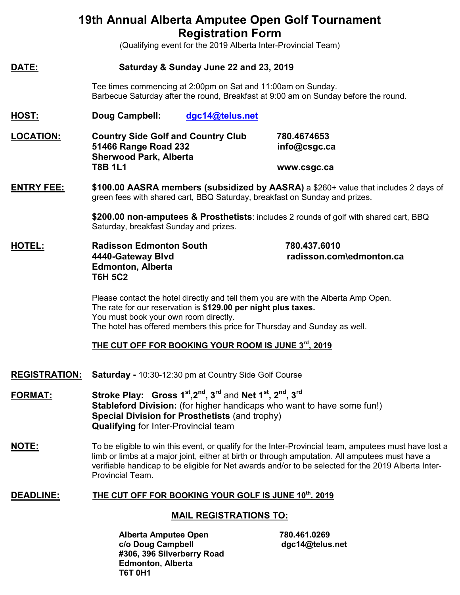## **19th Annual Alberta Amputee Open Golf Tournament Registration Form**

(Qualifying event for the 2019 Alberta Inter-Provincial Team)

#### **DATE: Saturday & Sunday June 22 and 23, 2019**

Tee times commencing at 2:00pm on Sat and 11:00am on Sunday. Barbecue Saturday after the round, Breakfast at 9:00 am on Sunday before the round.

#### **HOST: Doug Campbell: [dgc14@telus.net](mailto:dgc14@telus.net)**

**LOCATION: Country Side Golf and Country Club 780.4674653 51466 Range Road 232 info@csgc.ca Sherwood Park, Alberta T8B 1L1 www.csgc.ca**

**ENTRY FEE: \$100.00 AASRA members (subsidized by AASRA)** a \$260+ value that includes 2 days of green fees with shared cart, BBQ Saturday, breakfast on Sunday and prizes.

> **\$200.00 non-amputees & Prosthetists**: includes 2 rounds of golf with shared cart, BBQ Saturday, breakfast Sunday and prizes.

**HOTEL: Radisson Edmonton South 780.437.6010 Edmonton, Alberta T6H 5C2**

**4440-Gateway Blvd radisson.com\edmonton.ca**

Please contact the hotel directly and tell them you are with the Alberta Amp Open. The rate for our reservation is **\$129.00 per night plus taxes.** You must book your own room directly. The hotel has offered members this price for Thursday and Sunday as well.

#### **THE CUT OFF FOR BOOKING YOUR ROOM IS JUNE 3rd, 2019**

- **REGISTRATION: Saturday -** 10:30-12:30 pm at Country Side Golf Course
- **FORMAT: Stroke Play: Gross 1st,2nd, 3rd** and **Net 1st, 2nd, 3rd Stableford Division:** (for higher handicaps who want to have some fun!) **Special Division for Prosthetists** (and trophy) **Qualifying** for Inter-Provincial team
- **NOTE:** To be eligible to win this event, or qualify for the Inter-Provincial team, amputees must have lost a limb or limbs at a major joint, either at birth or through amputation. All amputees must have a verifiable handicap to be eligible for Net awards and/or to be selected for the 2019 Alberta Inter-Provincial Team.

#### **DEADLINE:** THE CUT OFF FOR BOOKING YOUR GOLF IS JUNE 10<sup>th</sup>. 2019

#### **MAIL REGISTRATIONS TO:**

**Alberta Amputee Open 780.461.0269 c/o Doug Campbell dgc14@telus.net #306, 396 Silverberry Road Edmonton, Alberta T6T 0H1**